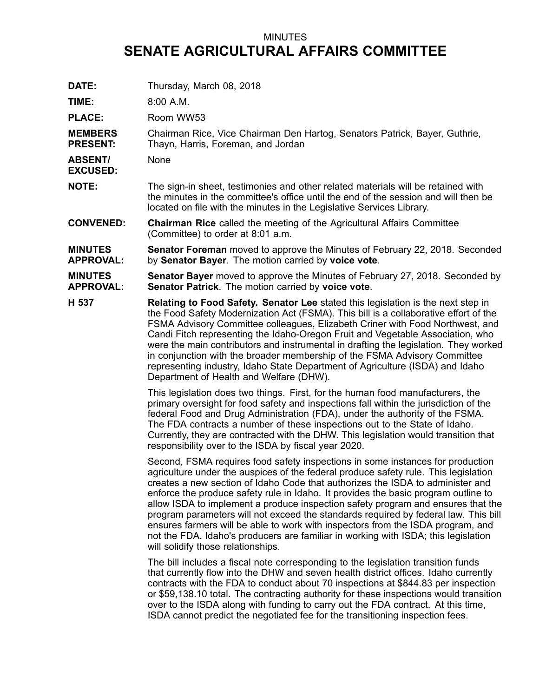## MINUTES **SENATE AGRICULTURAL AFFAIRS COMMITTEE**

| DATE:                              | Thursday, March 08, 2018                                                                                                                                                                                                                                                                                                                                                                                                                                                                                                                                                                                                                                                                                                                |
|------------------------------------|-----------------------------------------------------------------------------------------------------------------------------------------------------------------------------------------------------------------------------------------------------------------------------------------------------------------------------------------------------------------------------------------------------------------------------------------------------------------------------------------------------------------------------------------------------------------------------------------------------------------------------------------------------------------------------------------------------------------------------------------|
| TIME:                              | $8:00$ A.M.                                                                                                                                                                                                                                                                                                                                                                                                                                                                                                                                                                                                                                                                                                                             |
| <b>PLACE:</b>                      | Room WW53                                                                                                                                                                                                                                                                                                                                                                                                                                                                                                                                                                                                                                                                                                                               |
| <b>MEMBERS</b><br><b>PRESENT:</b>  | Chairman Rice, Vice Chairman Den Hartog, Senators Patrick, Bayer, Guthrie,<br>Thayn, Harris, Foreman, and Jordan                                                                                                                                                                                                                                                                                                                                                                                                                                                                                                                                                                                                                        |
| <b>ABSENT/</b><br><b>EXCUSED:</b>  | None                                                                                                                                                                                                                                                                                                                                                                                                                                                                                                                                                                                                                                                                                                                                    |
| <b>NOTE:</b>                       | The sign-in sheet, testimonies and other related materials will be retained with<br>the minutes in the committee's office until the end of the session and will then be<br>located on file with the minutes in the Legislative Services Library.                                                                                                                                                                                                                                                                                                                                                                                                                                                                                        |
| <b>CONVENED:</b>                   | <b>Chairman Rice</b> called the meeting of the Agricultural Affairs Committee<br>(Committee) to order at 8:01 a.m.                                                                                                                                                                                                                                                                                                                                                                                                                                                                                                                                                                                                                      |
| <b>MINUTES</b><br><b>APPROVAL:</b> | <b>Senator Foreman</b> moved to approve the Minutes of February 22, 2018. Seconded<br>by Senator Bayer. The motion carried by voice vote.                                                                                                                                                                                                                                                                                                                                                                                                                                                                                                                                                                                               |
| <b>MINUTES</b><br><b>APPROVAL:</b> | <b>Senator Bayer</b> moved to approve the Minutes of February 27, 2018. Seconded by<br>Senator Patrick. The motion carried by voice vote.                                                                                                                                                                                                                                                                                                                                                                                                                                                                                                                                                                                               |
| H 537                              | <b>Relating to Food Safety. Senator Lee stated this legislation is the next step in</b><br>the Food Safety Modernization Act (FSMA). This bill is a collaborative effort of the<br>FSMA Advisory Committee colleagues, Elizabeth Criner with Food Northwest, and<br>Candi Fitch representing the Idaho-Oregon Fruit and Vegetable Association, who<br>were the main contributors and instrumental in drafting the legislation. They worked<br>in conjunction with the broader membership of the FSMA Advisory Committee<br>representing industry, Idaho State Department of Agriculture (ISDA) and Idaho<br>Department of Health and Welfare (DHW).                                                                                     |
|                                    | This legislation does two things. First, for the human food manufacturers, the<br>primary oversight for food safety and inspections fall within the jurisdiction of the<br>federal Food and Drug Administration (FDA), under the authority of the FSMA.<br>The FDA contracts a number of these inspections out to the State of Idaho.<br>Currently, they are contracted with the DHW. This legislation would transition that<br>responsibility over to the ISDA by fiscal year 2020.                                                                                                                                                                                                                                                    |
|                                    | Second, FSMA requires food safety inspections in some instances for production<br>agriculture under the auspices of the federal produce safety rule. This legislation<br>creates a new section of Idaho Code that authorizes the ISDA to administer and<br>enforce the produce safety rule in Idaho. It provides the basic program outline to<br>allow ISDA to implement a produce inspection safety program and ensures that the<br>program parameters will not exceed the standards required by federal law. This bill<br>ensures farmers will be able to work with inspectors from the ISDA program, and<br>not the FDA. Idaho's producers are familiar in working with ISDA; this legislation<br>will solidify those relationships. |
|                                    | The bill includes a fiscal note corresponding to the legislation transition funds<br>that currently flow into the DHW and seven health district offices. Idaho currently<br>contracts with the FDA to conduct about 70 inspections at \$844.83 per inspection<br>or \$59,138.10 total. The contracting authority for these inspections would transition                                                                                                                                                                                                                                                                                                                                                                                 |

over to the ISDA along with funding to carry out the FDA contract. At this time, ISDA cannot predict the negotiated fee for the transitioning inspection fees.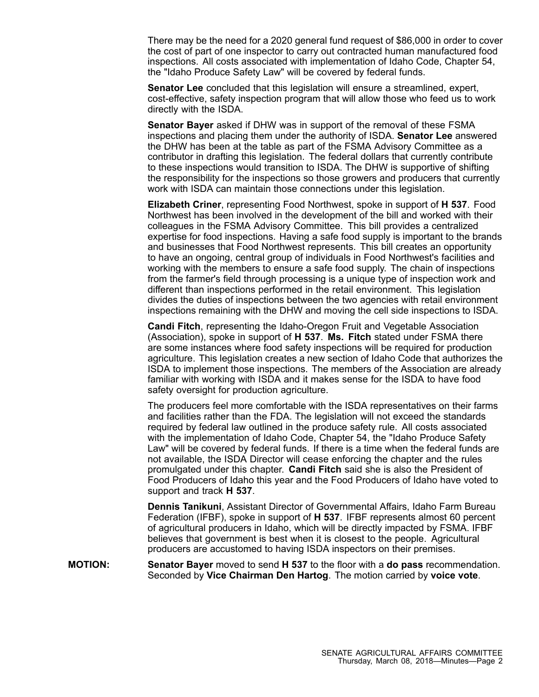There may be the need for <sup>a</sup> 2020 general fund request of \$86,000 in order to cover the cost of part of one inspector to carry out contracted human manufactured food inspections. All costs associated with implementation of Idaho Code, Chapter 54, the "Idaho Produce Safety Law" will be covered by federal funds.

**Senator Lee** concluded that this legislation will ensure <sup>a</sup> streamlined, expert, cost-effective, safety inspection program that will allow those who feed us to work directly with the ISDA.

**Senator Bayer** asked if DHW was in support of the removal of these FSMA inspections and placing them under the authority of ISDA. **Senator Lee** answered the DHW has been at the table as part of the FSMA Advisory Committee as <sup>a</sup> contributor in drafting this legislation. The federal dollars that currently contribute to these inspections would transition to ISDA. The DHW is supportive of shifting the responsibility for the inspections so those growers and producers that currently work with ISDA can maintain those connections under this legislation.

**Elizabeth Criner**, representing Food Northwest, spoke in support of **H 537**. Food Northwest has been involved in the development of the bill and worked with their colleagues in the FSMA Advisory Committee. This bill provides <sup>a</sup> centralized expertise for food inspections. Having <sup>a</sup> safe food supply is important to the brands and businesses that Food Northwest represents. This bill creates an opportunity to have an ongoing, central group of individuals in Food Northwest's facilities and working with the members to ensure <sup>a</sup> safe food supply. The chain of inspections from the farmer's field through processing is <sup>a</sup> unique type of inspection work and different than inspections performed in the retail environment. This legislation divides the duties of inspections between the two agencies with retail environment inspections remaining with the DHW and moving the cell side inspections to ISDA.

**Candi Fitch**, representing the Idaho-Oregon Fruit and Vegetable Association (Association), spoke in support of **H 537**. **Ms. Fitch** stated under FSMA there are some instances where food safety inspections will be required for production agriculture. This legislation creates <sup>a</sup> new section of Idaho Code that authorizes the ISDA to implement those inspections. The members of the Association are already familiar with working with ISDA and it makes sense for the ISDA to have food safety oversight for production agriculture.

The producers feel more comfortable with the ISDA representatives on their farms and facilities rather than the FDA. The legislation will not exceed the standards required by federal law outlined in the produce safety rule. All costs associated with the implementation of Idaho Code, Chapter 54, the "Idaho Produce Safety Law" will be covered by federal funds. If there is <sup>a</sup> time when the federal funds are not available, the ISDA Director will cease enforcing the chapter and the rules promulgated under this chapter. **Candi Fitch** said she is also the President of Food Producers of Idaho this year and the Food Producers of Idaho have voted to support and track **H 537**.

**Dennis Tanikuni**, Assistant Director of Governmental Affairs, Idaho Farm Bureau Federation (IFBF), spoke in support of **H 537**. IFBF represents almost 60 percent of agricultural producers in Idaho, which will be directly impacted by FSMA. IFBF believes that government is best when it is closest to the people. Agricultural producers are accustomed to having ISDA inspectors on their premises.

**MOTION: Senator Bayer** moved to send **H 537** to the floor with <sup>a</sup> **do pass** recommendation. Seconded by **Vice Chairman Den Hartog**. The motion carried by **voice vote**.